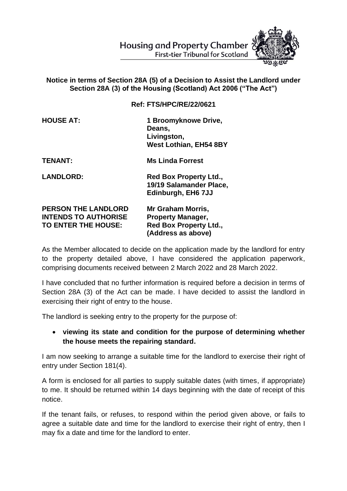

## **Notice in terms of Section 28A (5) of a Decision to Assist the Landlord under Section 28A (3) of the Housing (Scotland) Act 2006 ("The Act")**

**Ref: FTS/HPC/RE/22/0621**

**HOUSE AT: 1 Broomyknowe Drive, Deans, Livingston, West Lothian, EH54 8BY**

**TENANT: Ms Linda Forrest** 

LANDLORD: Red Box Property Ltd., **19/19 Salamander Place, Edinburgh, EH6 7JJ** 

**PERSON THE LANDLORD Mr Graham Morris, INTENDS TO AUTHORISE Property Manager, TO ENTER THE HOUSE: Red Box Property Ltd., (Address as above)**

As the Member allocated to decide on the application made by the landlord for entry to the property detailed above, I have considered the application paperwork, comprising documents received between 2 March 2022 and 28 March 2022.

I have concluded that no further information is required before a decision in terms of Section 28A (3) of the Act can be made. I have decided to assist the landlord in exercising their right of entry to the house.

The landlord is seeking entry to the property for the purpose of:

## • **viewing its state and condition for the purpose of determining whether the house meets the repairing standard.**

I am now seeking to arrange a suitable time for the landlord to exercise their right of entry under Section 181(4).

A form is enclosed for all parties to supply suitable dates (with times, if appropriate) to me. It should be returned within 14 days beginning with the date of receipt of this notice.

If the tenant fails, or refuses, to respond within the period given above, or fails to agree a suitable date and time for the landlord to exercise their right of entry, then I may fix a date and time for the landlord to enter.